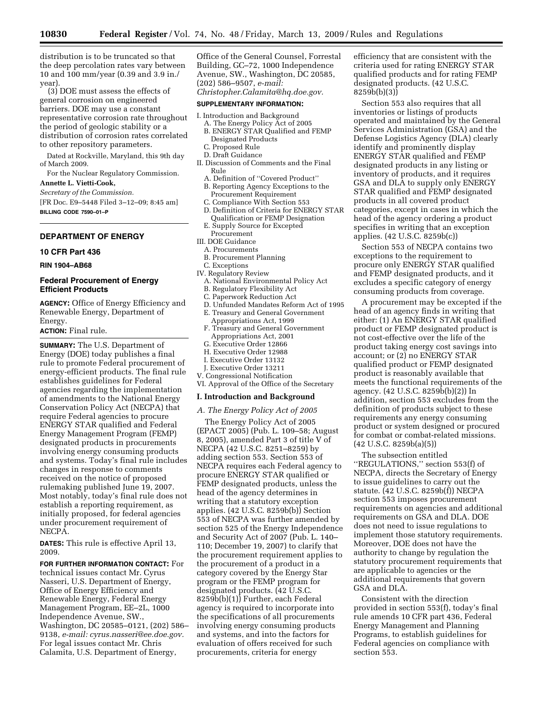distribution is to be truncated so that the deep percolation rates vary between 10 and 100 mm/year (0.39 and 3.9 in./ year).

(3) DOE must assess the effects of general corrosion on engineered barriers. DOE may use a constant representative corrosion rate throughout the period of geologic stability or a distribution of corrosion rates correlated to other repository parameters.

Dated at Rockville, Maryland, this 9th day of March 2009.

For the Nuclear Regulatory Commission. **Annette L. Vietti-Cook,** 

*Secretary of the Commission.* 

[FR Doc. E9–5448 Filed 3–12–09; 8:45 am] **BILLING CODE 7590–01–P** 

## **DEPARTMENT OF ENERGY**

### **10 CFR Part 436**

**RIN 1904–AB68** 

### **Federal Procurement of Energy Efficient Products**

**AGENCY:** Office of Energy Efficiency and Renewable Energy, Department of Energy.

**ACTION:** Final rule.

**SUMMARY:** The U.S. Department of Energy (DOE) today publishes a final rule to promote Federal procurement of energy-efficient products. The final rule establishes guidelines for Federal agencies regarding the implementation of amendments to the National Energy Conservation Policy Act (NECPA) that require Federal agencies to procure ENERGY STAR qualified and Federal Energy Management Program (FEMP) designated products in procurements involving energy consuming products and systems. Today's final rule includes changes in response to comments received on the notice of proposed rulemaking published June 19, 2007. Most notably, today's final rule does not establish a reporting requirement, as initially proposed, for federal agencies under procurement requirement of NECPA.

**DATES:** This rule is effective April 13, 2009.

**FOR FURTHER INFORMATION CONTACT:** For technical issues contact Mr. Cyrus Nasseri, U.S. Department of Energy, Office of Energy Efficiency and Renewable Energy, Federal Energy Management Program, EE–2L, 1000 Independence Avenue, SW., Washington, DC 20585–0121, (202) 586– 9138, *e-mail: cyrus.nasseri@ee.doe.gov.*  For legal issues contact Mr. Chris Calamita, U.S. Department of Energy,

Office of the General Counsel, Forrestal Building, GC–72, 1000 Independence Avenue, SW., Washington, DC 20585, (202) 586–9507, *e-mail:* 

*Christopher.Calamita@hq.doe.gov.* 

## **SUPPLEMENTARY INFORMATION:**

- I. Introduction and Background
	- A. The Energy Policy Act of 2005 B. ENERGY STAR Qualified and FEMP
	- Designated Products
	- C. Proposed Rule D. Draft Guidance
- II. Discussion of Comments and the Final
- Rule
- A. Definition of ''Covered Product'' B. Reporting Agency Exceptions to the Procurement Requirement
- C. Compliance With Section 553
- D. Definition of Criteria for ENERGY STAR Qualification or FEMP Designation
- E. Supply Source for Excepted
- Procurement
- III. DOE Guidance
- A. Procurements
- B. Procurement Planning
- C. Exceptions
- IV. Regulatory Review
	- A. National Environmental Policy Act
	- B. Regulatory Flexibility Act
	- C. Paperwork Reduction Act
	- D. Unfunded Mandates Reform Act of 1995 E. Treasury and General Government
	- Appropriations Act, 1999
	- F. Treasury and General Government Appropriations Act, 2001
	- G. Executive Order 12866
	- H. Executive Order 12988
	- I. Executive Order 13132
- J. Executive Order 13211
- V. Congressional Notification
- VI. Approval of the Office of the Secretary

#### **I. Introduction and Background**

### *A. The Energy Policy Act of 2005*

The Energy Policy Act of 2005 (EPACT 2005) (Pub. L. 109–58; August 8, 2005), amended Part 3 of title V of NECPA (42 U.S.C. 8251–8259) by adding section 553. Section 553 of NECPA requires each Federal agency to procure ENERGY STAR qualified or FEMP designated products, unless the head of the agency determines in writing that a statutory exception applies. (42 U.S.C. 8259b(b)) Section 553 of NECPA was further amended by section 525 of the Energy Independence and Security Act of 2007 (Pub. L. 140– 110; December 19, 2007) to clarify that the procurement requirement applies to the procurement of a product in a category covered by the Energy Star program or the FEMP program for designated products. (42 U.S.C. 8259b(b)(1)) Further, each Federal agency is required to incorporate into the specifications of all procurements involving energy consuming products and systems, and into the factors for evaluation of offers received for such procurements, criteria for energy

efficiency that are consistent with the criteria used for rating ENERGY STAR qualified products and for rating FEMP designated products. (42 U.S.C. 8259b(b)(3))

Section 553 also requires that all inventories or listings of products operated and maintained by the General Services Administration (GSA) and the Defense Logistics Agency (DLA) clearly identify and prominently display ENERGY STAR qualified and FEMP designated products in any listing or inventory of products, and it requires GSA and DLA to supply only ENERGY STAR qualified and FEMP designated products in all covered product categories, except in cases in which the head of the agency ordering a product specifies in writing that an exception applies. (42 U.S.C. 8259b(c))

Section 553 of NECPA contains two exceptions to the requirement to procure only ENERGY STAR qualified and FEMP designated products, and it excludes a specific category of energy consuming products from coverage.

A procurement may be excepted if the head of an agency finds in writing that either: (1) An ENERGY STAR qualified product or FEMP designated product is not cost-effective over the life of the product taking energy cost savings into account; or (2) no ENERGY STAR qualified product or FEMP designated product is reasonably available that meets the functional requirements of the agency. (42 U.S.C. 8259b(b)(2)) In addition, section 553 excludes from the definition of products subject to these requirements any energy consuming product or system designed or procured for combat or combat-related missions. (42 U.S.C. 8259b(a)(5))

The subsection entitled ''REGULATIONS,'' section 553(f) of NECPA, directs the Secretary of Energy to issue guidelines to carry out the statute. (42 U.S.C. 8259b(f)) NECPA section 553 imposes procurement requirements on agencies and additional requirements on GSA and DLA. DOE does not need to issue regulations to implement those statutory requirements. Moreover, DOE does not have the authority to change by regulation the statutory procurement requirements that are applicable to agencies or the additional requirements that govern GSA and DLA.

Consistent with the direction provided in section 553(f), today's final rule amends 10 CFR part 436, Federal Energy Management and Planning Programs, to establish guidelines for Federal agencies on compliance with section 553.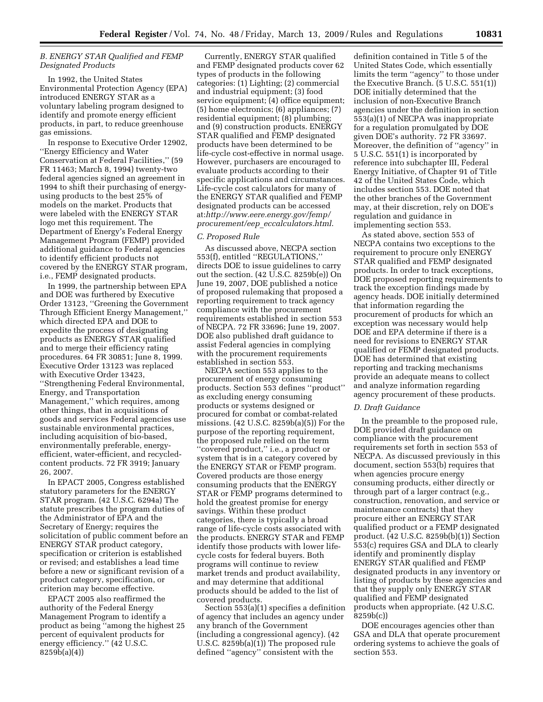## *B. ENERGY STAR Qualified and FEMP Designated Products*

In 1992, the United States Environmental Protection Agency (EPA) introduced ENERGY STAR as a voluntary labeling program designed to identify and promote energy efficient products, in part, to reduce greenhouse gas emissions.

In response to Executive Order 12902, ''Energy Efficiency and Water Conservation at Federal Facilities,'' (59 FR 11463; March 8, 1994) twenty-two federal agencies signed an agreement in 1994 to shift their purchasing of energyusing products to the best 25% of models on the market. Products that were labeled with the ENERGY STAR logo met this requirement. The Department of Energy's Federal Energy Management Program (FEMP) provided additional guidance to Federal agencies to identify efficient products not covered by the ENERGY STAR program, i.e., FEMP designated products.

In 1999, the partnership between EPA and DOE was furthered by Executive Order 13123, ''Greening the Government Through Efficient Energy Management,'' which directed EPA and DOE to expedite the process of designating products as ENERGY STAR qualified and to merge their efficiency rating procedures. 64 FR 30851; June 8, 1999. Executive Order 13123 was replaced with Executive Order 13423, ''Strengthening Federal Environmental, Energy, and Transportation Management,'' which requires, among other things, that in acquisitions of goods and services Federal agencies use sustainable environmental practices, including acquisition of bio-based, environmentally preferable, energyefficient, water-efficient, and recycledcontent products. 72 FR 3919; January 26, 2007.

In EPACT 2005, Congress established statutory parameters for the ENERGY STAR program. (42 U.S.C. 6294a) The statute prescribes the program duties of the Administrator of EPA and the Secretary of Energy; requires the solicitation of public comment before an ENERGY STAR product category, specification or criterion is established or revised; and establishes a lead time before a new or significant revision of a product category, specification, or criterion may become effective.

EPACT 2005 also reaffirmed the authority of the Federal Energy Management Program to identify a product as being ''among the highest 25 percent of equivalent products for energy efficiency.'' (42 U.S.C. 8259b(a)(4))

Currently, ENERGY STAR qualified and FEMP designated products cover 62 types of products in the following categories: (1) Lighting; (2) commercial and industrial equipment; (3) food service equipment; (4) office equipment; (5) home electronics; (6) appliances; (7) residential equipment; (8) plumbing; and (9) construction products. ENERGY STAR qualified and FEMP designated products have been determined to be life-cycle cost-effective in normal usage. However, purchasers are encouraged to evaluate products according to their specific applications and circumstances. Life-cycle cost calculators for many of the ENERGY STAR qualified and FEMP designated products can be accessed at:*http://www.eere.energy.gov/femp/ procurement/eep*\_*eccalculators.html*.

## *C. Proposed Rule*

As discussed above, NECPA section 553(f), entitled ''REGULATIONS,'' directs DOE to issue guidelines to carry out the section. (42 U.S.C. 8259b(e)) On June 19, 2007, DOE published a notice of proposed rulemaking that proposed a reporting requirement to track agency compliance with the procurement requirements established in section 553 of NECPA. 72 FR 33696; June 19, 2007. DOE also published draft guidance to assist Federal agencies in complying with the procurement requirements established in section 553.

NECPA section 553 applies to the procurement of energy consuming products. Section 553 defines ''product'' as excluding energy consuming products or systems designed or procured for combat or combat-related missions. (42 U.S.C. 8259b(a)(5)) For the purpose of the reporting requirement, the proposed rule relied on the term ''covered product,'' i.e., a product or system that is in a category covered by the ENERGY STAR or FEMP program. Covered products are those energy consuming products that the ENERGY STAR or FEMP programs determined to hold the greatest promise for energy savings. Within these product categories, there is typically a broad range of life-cycle costs associated with the products. ENERGY STAR and FEMP identify those products with lower lifecycle costs for federal buyers. Both programs will continue to review market trends and product availability, and may determine that additional products should be added to the list of covered products.

Section 553(a)(1) specifies a definition of agency that includes an agency under any branch of the Government (including a congressional agency). (42 U.S.C. 8259b(a)(1)) The proposed rule defined ''agency'' consistent with the

definition contained in Title 5 of the United States Code, which essentially limits the term ''agency'' to those under the Executive Branch. (5 U.S.C. 551(1)) DOE initially determined that the inclusion of non-Executive Branch agencies under the definition in section 553(a)(1) of NECPA was inappropriate for a regulation promulgated by DOE given DOE's authority. 72 FR 33697. Moreover, the definition of ''agency'' in 5 U.S.C. 551(1) is incorporated by reference into subchapter III, Federal Energy Initiative, of Chapter 91 of Title 42 of the United States Code, which includes section 553. DOE noted that the other branches of the Government may, at their discretion, rely on DOE's regulation and guidance in implementing section 553.

As stated above, section 553 of NECPA contains two exceptions to the requirement to procure only ENERGY STAR qualified and FEMP designated products. In order to track exceptions, DOE proposed reporting requirements to track the exception findings made by agency heads. DOE initially determined that information regarding the procurement of products for which an exception was necessary would help DOE and EPA determine if there is a need for revisions to ENERGY STAR qualified or FEMP designated products. DOE has determined that existing reporting and tracking mechanisms provide an adequate means to collect and analyze information regarding agency procurement of these products.

#### *D. Draft Guidance*

In the preamble to the proposed rule, DOE provided draft guidance on compliance with the procurement requirements set forth in section 553 of NECPA. As discussed previously in this document, section 553(b) requires that when agencies procure energy consuming products, either directly or through part of a larger contract (e.g., construction, renovation, and service or maintenance contracts) that they procure either an ENERGY STAR qualified product or a FEMP designated product. (42 U.S.C. 8259b(b)(1)) Section 553(c) requires GSA and DLA to clearly identify and prominently display ENERGY STAR qualified and FEMP designated products in any inventory or listing of products by these agencies and that they supply only ENERGY STAR qualified and FEMP designated products when appropriate. (42 U.S.C. 8259b(c))

DOE encourages agencies other than GSA and DLA that operate procurement ordering systems to achieve the goals of section 553.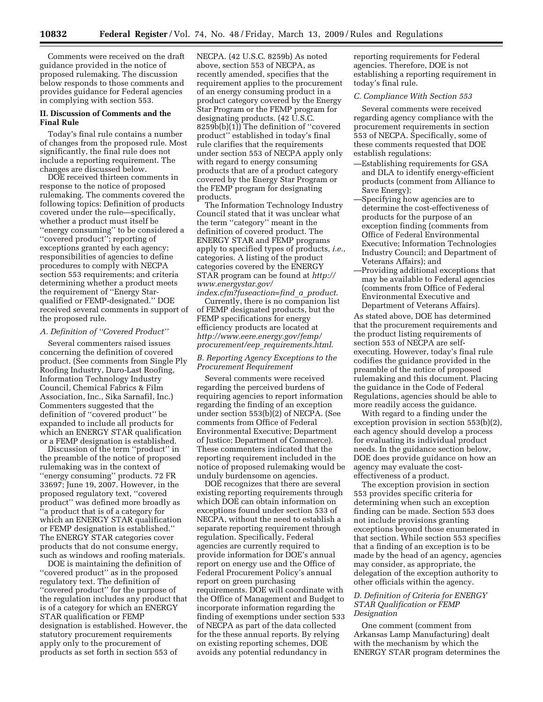Comments were received on the draft guidance provided in the notice of proposed rulemaking. The discussion below responds to those comments and provides guidance for Federal agencies in complying with section 553.

### **II. Discussion of Comments and the Final Rule**

Today's final rule contains a number of changes from the proposed rule. Most significantly, the final rule does not include a reporting requirement. The changes are discussed below.

DOE received thirteen comments in response to the notice of proposed rulemaking. The comments covered the following topics: Definition of products covered under the rule—specifically, whether a product must itself be ''energy consuming'' to be considered a ''covered product''; reporting of exceptions granted by each agency; responsibilities of agencies to define procedures to comply with NECPA section 553 requirements; and criteria determining whether a product meets the requirement of ''Energy Starqualified or FEMP-designated.'' DOE received several comments in support of the proposed rule.

#### *A. Definition of ''Covered Product''*

Several commenters raised issues concerning the definition of covered product. (See comments from Single Ply Roofing Industry, Duro-Last Roofing, Information Technology Industry Council, Chemical Fabrics & Film Association, Inc., Sika Sarnafil, Inc.) Commenters suggested that the definition of ''covered product'' be expanded to include all products for which an ENERGY STAR qualification or a FEMP designation is established.

Discussion of the term ''product'' in the preamble of the notice of proposed rulemaking was in the context of ''energy consuming'' products. 72 FR 33697; June 19, 2007. However, in the proposed regulatory text, ''covered product'' was defined more broadly as ''a product that is of a category for which an ENERGY STAR qualification or FEMP designation is established.'' The ENERGY STAR categories cover products that do not consume energy, such as windows and roofing materials.

DOE is maintaining the definition of "covered product" as in the proposed regulatory text. The definition of ''covered product'' for the purpose of the regulation includes any product that is of a category for which an ENERGY STAR qualification or FEMP designation is established. However, the statutory procurement requirements apply only to the procurement of products as set forth in section 553 of

NECPA. (42 U.S.C. 8259b) As noted above, section 553 of NECPA, as recently amended, specifies that the requirement applies to the procurement of an energy consuming product in a product category covered by the Energy Star Program or the FEMP program for designating products. (42 U.S.C. 8259b(b)(1)) The definition of ''covered product'' established in today's final rule clarifies that the requirements under section 553 of NECPA apply only with regard to energy consuming products that are of a product category covered by the Energy Star Program or the FEMP program for designating products.

The Information Technology Industry Council stated that it was unclear what the term ''category'' meant in the definition of covered product. The ENERGY STAR and FEMP programs apply to specified types of products, *i.e.*, categories. A listing of the product categories covered by the ENERGY STAR program can be found at *http:// www.energystar.gov/* 

*index.cfm?fuseaction=find*\_*a*\_*product*. Currently, there is no companion list of FEMP designated products, but the FEMP specifications for energy efficiency products are located at *http://www.eere.energy.gov/femp/ procurement/eep*\_*requirements.html*.

## *B. Reporting Agency Exceptions to the Procurement Requirement*

Several comments were received regarding the perceived burdens of requiring agencies to report information regarding the finding of an exception under section 553(b)(2) of NECPA. (See comments from Office of Federal Environmental Executive; Department of Justice; Department of Commerce). These commenters indicated that the reporting requirement included in the notice of proposed rulemaking would be unduly burdensome on agencies.

DOE recognizes that there are several existing reporting requirements through which DOE can obtain information on exceptions found under section 533 of NECPA, without the need to establish a separate reporting requirement through regulation. Specifically, Federal agencies are currently required to provide information for DOE's annual report on energy use and the Office of Federal Procurement Policy's annual report on green purchasing requirements. DOE will coordinate with the Office of Management and Budget to incorporate information regarding the finding of exemptions under section 533 of NECPA as part of the data collected for the these annual reports. By relying on existing reporting schemes, DOE avoids any potential redundancy in

reporting requirements for Federal agencies. Therefore, DOE is not establishing a reporting requirement in today's final rule.

# *C. Compliance With Section 553*

Several comments were received regarding agency compliance with the procurement requirements in section 553 of NECPA. Specifically, some of these comments requested that DOE establish regulations:

- —Establishing requirements for GSA and DLA to identify energy-efficient products (comment from Alliance to Save Energy);
- —Specifying how agencies are to determine the cost-effectiveness of products for the purpose of an exception finding (comments from Office of Federal Environmental Executive; Information Technologies Industry Council; and Department of Veterans Affairs); and
- —Providing additional exceptions that may be available to Federal agencies (comments from Office of Federal Environmental Executive and Department of Veterans Affairs).

As stated above, DOE has determined that the procurement requirements and the product listing requirements of section 553 of NECPA are selfexecuting. However, today's final rule codifies the guidance provided in the preamble of the notice of proposed rulemaking and this document. Placing the guidance in the Code of Federal Regulations, agencies should be able to more readily access the guidance.

With regard to a finding under the exception provision in section 553(b)(2), each agency should develop a process for evaluating its individual product needs. In the guidance section below, DOE does provide guidance on how an agency may evaluate the costeffectiveness of a product.

The exception provision in section 553 provides specific criteria for determining when such an exception finding can be made. Section 553 does not include provisions granting exceptions beyond those enumerated in that section. While section 553 specifies that a finding of an exception is to be made by the head of an agency, agencies may consider, as appropriate, the delegation of the exception authority to other officials within the agency.

### *D. Definition of Criteria for ENERGY STAR Qualification or FEMP Designation*

One comment (comment from Arkansas Lamp Manufacturing) dealt with the mechanism by which the ENERGY STAR program determines the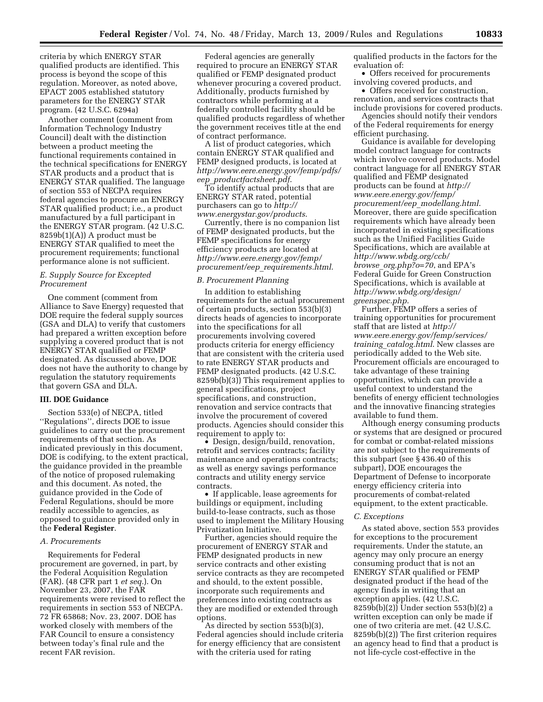criteria by which ENERGY STAR qualified products are identified. This process is beyond the scope of this regulation. Moreover, as noted above, EPACT 2005 established statutory parameters for the ENERGY STAR program. (42 U.S.C. 6294a)

Another comment (comment from Information Technology Industry Council) dealt with the distinction between a product meeting the functional requirements contained in the technical specifications for ENERGY STAR products and a product that is ENERGY STAR qualified. The language of section 553 of NECPA requires federal agencies to procure an ENERGY STAR qualified product; i.e., a product manufactured by a full participant in the ENERGY STAR program. (42 U.S.C. 8259b(1)(A)) A product must be ENERGY STAR qualified to meet the procurement requirements; functional performance alone is not sufficient.

### *E. Supply Source for Excepted Procurement*

One comment (comment from Alliance to Save Energy) requested that DOE require the federal supply sources (GSA and DLA) to verify that customers had prepared a written exception before supplying a covered product that is not ENERGY STAR qualified or FEMP designated. As discussed above, DOE does not have the authority to change by regulation the statutory requirements that govern GSA and DLA.

### **III. DOE Guidance**

Section 533(e) of NECPA, titled ''Regulations'', directs DOE to issue guidelines to carry out the procurement requirements of that section. As indicated previously in this document, DOE is codifying, to the extent practical, the guidance provided in the preamble of the notice of proposed rulemaking and this document. As noted, the guidance provided in the Code of Federal Regulations, should be more readily accessible to agencies, as opposed to guidance provided only in the **Federal Register**.

#### *A. Procurements*

Requirements for Federal procurement are governed, in part, by the Federal Acquisition Regulation (FAR). (48 CFR part 1 *et seq.*). On November 23, 2007, the FAR requirements were revised to reflect the requirements in section 553 of NECPA. 72 FR 65868; Nov. 23, 2007. DOE has worked closely with members of the FAR Council to ensure a consistency between today's final rule and the recent FAR revision.

Federal agencies are generally required to procure an ENERGY STAR qualified or FEMP designated product whenever procuring a covered product. Additionally, products furnished by contractors while performing at a federally controlled facility should be qualified products regardless of whether the government receives title at the end of contract performance.

A list of product categories, which contain ENERGY STAR qualified and FEMP designed products, is located at *http://www.eere.energy.gov/femp/pdfs/ eep*\_*productfactsheet.pdf*.

To identify actual products that are ENERGY STAR rated, potential purchasers can go to *http:// www.energystar.gov/products*.

Currently, there is no companion list of FEMP designated products, but the FEMP specifications for energy efficiency products are located at *http://www.eere.energy.gov/femp/ procurement/eep*\_*requirements.html*.

#### *B. Procurement Planning*

In addition to establishing requirements for the actual procurement of certain products, section 553(b)(3) directs heads of agencies to incorporate into the specifications for all procurements involving covered products criteria for energy efficiency that are consistent with the criteria used to rate ENERGY STAR products and FEMP designated products. (42 U.S.C. 8259b(b)(3)) This requirement applies to general specifications, project specifications, and construction, renovation and service contracts that involve the procurement of covered products. Agencies should consider this requirement to apply to:

• Design, design/build, renovation, retrofit and services contracts; facility maintenance and operations contracts; as well as energy savings performance contracts and utility energy service contracts.

• If applicable, lease agreements for buildings or equipment, including build-to-lease contracts, such as those used to implement the Military Housing Privatization Initiative.

Further, agencies should require the procurement of ENERGY STAR and FEMP designated products in new service contracts and other existing service contracts as they are recompeted and should, to the extent possible, incorporate such requirements and preferences into existing contracts as they are modified or extended through options.

As directed by section 553(b)(3), Federal agencies should include criteria for energy efficiency that are consistent with the criteria used for rating

qualified products in the factors for the evaluation of:

• Offers received for procurements involving covered products, and

• Offers received for construction, renovation, and services contracts that include provisions for covered products.

Agencies should notify their vendors of the Federal requirements for energy efficient purchasing.

Guidance is available for developing model contract language for contracts which involve covered products. Model contract language for all ENERGY STAR qualified and FEMP designated products can be found at *http:// www.eere.energy.gov/femp/ procurement/eep*\_*modellang.html*. Moreover, there are guide specification requirements which have already been incorporated in existing specifications such as the Unified Facilities Guide Specifications, which are available at *http://www.wbdg.org/ccb/ browse*\_*org.php?o=70*, and EPA's Federal Guide for Green Construction Specifications, which is available at *http://www.wbdg.org/design/ greenspec.php*.

Further, FEMP offers a series of training opportunities for procurement staff that are listed at *http:// www.eere.energy.gov/femp/services/ training*\_*catalog.html*. New classes are periodically added to the Web site. Procurement officials are encouraged to take advantage of these training opportunities, which can provide a useful context to understand the benefits of energy efficient technologies and the innovative financing strategies available to fund them.

Although energy consuming products or systems that are designed or procured for combat or combat-related missions are not subject to the requirements of this subpart (see § 436.40 of this subpart), DOE encourages the Department of Defense to incorporate energy efficiency criteria into procurements of combat-related equipment, to the extent practicable.

#### *C. Exceptions*

As stated above, section 553 provides for exceptions to the procurement requirements. Under the statute, an agency may only procure an energy consuming product that is not an ENERGY STAR qualified or FEMP designated product if the head of the agency finds in writing that an exception applies. (42 U.S.C. 8259b(b)(2)) Under section 553(b)(2) a written exception can only be made if one of two criteria are met. (42 U.S.C. 8259b(b)(2)) The first criterion requires an agency head to find that a product is not life-cycle cost-effective in the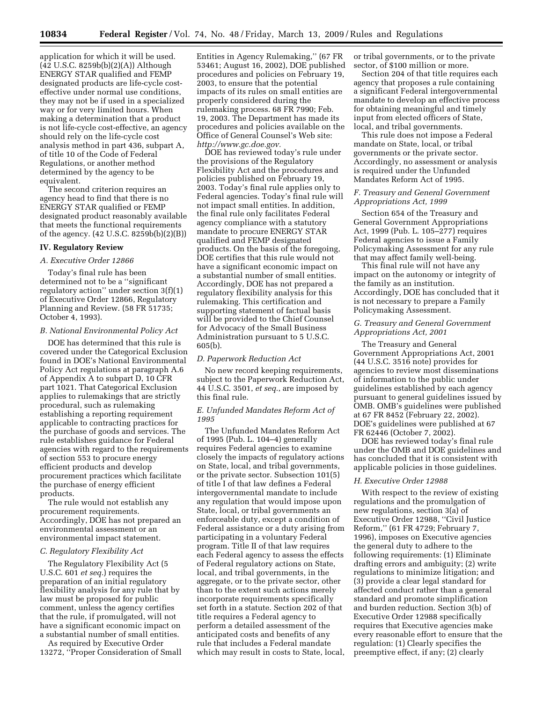application for which it will be used. (42 U.S.C. 8259b(b)(2)(A)) Although ENERGY STAR qualified and FEMP designated products are life-cycle costeffective under normal use conditions, they may not be if used in a specialized way or for very limited hours. When making a determination that a product is not life-cycle cost-effective, an agency should rely on the life-cycle cost analysis method in part 436, subpart A, of title 10 of the Code of Federal Regulations, or another method determined by the agency to be equivalent.

The second criterion requires an agency head to find that there is no ENERGY STAR qualified or FEMP designated product reasonably available that meets the functional requirements of the agency. (42 U.S.C. 8259b(b)(2)(B))

### **IV. Regulatory Review**

## *A. Executive Order 12866*

Today's final rule has been determined not to be a ''significant regulatory action'' under section 3(f)(1) of Executive Order 12866, Regulatory Planning and Review. (58 FR 51735; October 4, 1993).

## *B. National Environmental Policy Act*

DOE has determined that this rule is covered under the Categorical Exclusion found in DOE's National Environmental Policy Act regulations at paragraph A.6 of Appendix A to subpart D, 10 CFR part 1021. That Categorical Exclusion applies to rulemakings that are strictly procedural, such as rulemaking establishing a reporting requirement applicable to contracting practices for the purchase of goods and services. The rule establishes guidance for Federal agencies with regard to the requirements of section 553 to procure energy efficient products and develop procurement practices which facilitate the purchase of energy efficient products.

The rule would not establish any procurement requirements. Accordingly, DOE has not prepared an environmental assessment or an environmental impact statement.

### *C. Regulatory Flexibility Act*

The Regulatory Flexibility Act (5 U.S.C. 601 *et seq.*) requires the preparation of an initial regulatory flexibility analysis for any rule that by law must be proposed for public comment, unless the agency certifies that the rule, if promulgated, will not have a significant economic impact on a substantial number of small entities.

As required by Executive Order 13272, ''Proper Consideration of Small

Entities in Agency Rulemaking,'' (67 FR 53461; August 16, 2002), DOE published procedures and policies on February 19, 2003, to ensure that the potential impacts of its rules on small entities are properly considered during the rulemaking process. 68 FR 7990; Feb. 19, 2003. The Department has made its procedures and policies available on the Office of General Counsel's Web site: *http://www.gc.doe.gov.* 

DOE has reviewed today's rule under the provisions of the Regulatory Flexibility Act and the procedures and policies published on February 19, 2003. Today's final rule applies only to Federal agencies. Today's final rule will not impact small entities. In addition, the final rule only facilitates Federal agency compliance with a statutory mandate to procure ENERGY STAR qualified and FEMP designated products. On the basis of the foregoing, DOE certifies that this rule would not have a significant economic impact on a substantial number of small entities. Accordingly, DOE has not prepared a regulatory flexibility analysis for this rulemaking. This certification and supporting statement of factual basis will be provided to the Chief Counsel for Advocacy of the Small Business Administration pursuant to 5 U.S.C. 605(b).

#### *D. Paperwork Reduction Act*

No new record keeping requirements, subject to the Paperwork Reduction Act, 44 U.S.C. 3501, *et seq.*, are imposed by this final rule.

### *E. Unfunded Mandates Reform Act of 1995*

The Unfunded Mandates Reform Act of 1995 (Pub. L. 104–4) generally requires Federal agencies to examine closely the impacts of regulatory actions on State, local, and tribal governments, or the private sector. Subsection 101(5) of title I of that law defines a Federal intergovernmental mandate to include any regulation that would impose upon State, local, or tribal governments an enforceable duty, except a condition of Federal assistance or a duty arising from participating in a voluntary Federal program. Title II of that law requires each Federal agency to assess the effects of Federal regulatory actions on State, local, and tribal governments, in the aggregate, or to the private sector, other than to the extent such actions merely incorporate requirements specifically set forth in a statute. Section 202 of that title requires a Federal agency to perform a detailed assessment of the anticipated costs and benefits of any rule that includes a Federal mandate which may result in costs to State, local,

or tribal governments, or to the private sector, of \$100 million or more.

Section 204 of that title requires each agency that proposes a rule containing a significant Federal intergovernmental mandate to develop an effective process for obtaining meaningful and timely input from elected officers of State, local, and tribal governments.

This rule does not impose a Federal mandate on State, local, or tribal governments or the private sector. Accordingly, no assessment or analysis is required under the Unfunded Mandates Reform Act of 1995.

## *F. Treasury and General Government Appropriations Act, 1999*

Section 654 of the Treasury and General Government Appropriations Act, 1999 (Pub. L. 105–277) requires Federal agencies to issue a Family Policymaking Assessment for any rule that may affect family well-being.

This final rule will not have any impact on the autonomy or integrity of the family as an institution. Accordingly, DOE has concluded that it is not necessary to prepare a Family Policymaking Assessment.

### *G. Treasury and General Government Appropriations Act, 2001*

The Treasury and General Government Appropriations Act, 2001 (44 U.S.C. 3516 note) provides for agencies to review most disseminations of information to the public under guidelines established by each agency pursuant to general guidelines issued by OMB. OMB's guidelines were published at 67 FR 8452 (February 22, 2002). DOE's guidelines were published at 67 FR 62446 (October 7, 2002).

DOE has reviewed today's final rule under the OMB and DOE guidelines and has concluded that it is consistent with applicable policies in those guidelines.

## *H. Executive Order 12988*

With respect to the review of existing regulations and the promulgation of new regulations, section 3(a) of Executive Order 12988, ''Civil Justice Reform,'' (61 FR 4729; February 7, 1996), imposes on Executive agencies the general duty to adhere to the following requirements: (1) Eliminate drafting errors and ambiguity; (2) write regulations to minimize litigation; and (3) provide a clear legal standard for affected conduct rather than a general standard and promote simplification and burden reduction. Section 3(b) of Executive Order 12988 specifically requires that Executive agencies make every reasonable effort to ensure that the regulation: (1) Clearly specifies the preemptive effect, if any; (2) clearly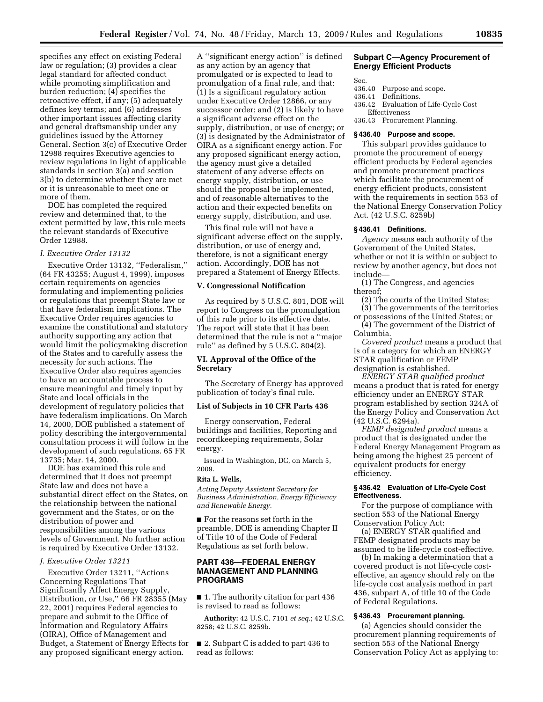specifies any effect on existing Federal law or regulation; (3) provides a clear legal standard for affected conduct while promoting simplification and burden reduction; (4) specifies the retroactive effect, if any; (5) adequately defines key terms; and (6) addresses other important issues affecting clarity and general draftsmanship under any guidelines issued by the Attorney General. Section 3(c) of Executive Order 12988 requires Executive agencies to review regulations in light of applicable standards in section 3(a) and section 3(b) to determine whether they are met or it is unreasonable to meet one or more of them.

DOE has completed the required review and determined that, to the extent permitted by law, this rule meets the relevant standards of Executive Order 12988.

### *I. Executive Order 13132*

Executive Order 13132, ''Federalism,'' (64 FR 43255; August 4, 1999), imposes certain requirements on agencies formulating and implementing policies or regulations that preempt State law or that have federalism implications. The Executive Order requires agencies to examine the constitutional and statutory authority supporting any action that would limit the policymaking discretion of the States and to carefully assess the necessity for such actions. The Executive Order also requires agencies to have an accountable process to ensure meaningful and timely input by State and local officials in the development of regulatory policies that have federalism implications. On March 14, 2000, DOE published a statement of policy describing the intergovernmental consultation process it will follow in the development of such regulations. 65 FR 13735; Mar. 14, 2000.

DOE has examined this rule and determined that it does not preempt State law and does not have a substantial direct effect on the States, on the relationship between the national government and the States, or on the distribution of power and responsibilities among the various levels of Government. No further action is required by Executive Order 13132.

### *J. Executive Order 13211*

Executive Order 13211, ''Actions Concerning Regulations That Significantly Affect Energy Supply, Distribution, or Use,'' 66 FR 28355 (May 22, 2001) requires Federal agencies to prepare and submit to the Office of Information and Regulatory Affairs (OIRA), Office of Management and Budget, a Statement of Energy Effects for any proposed significant energy action.

A ''significant energy action'' is defined as any action by an agency that promulgated or is expected to lead to promulgation of a final rule, and that: (1) Is a significant regulatory action under Executive Order 12866, or any successor order; and (2) is likely to have a significant adverse effect on the supply, distribution, or use of energy; or (3) is designated by the Administrator of OIRA as a significant energy action. For any proposed significant energy action, the agency must give a detailed statement of any adverse effects on energy supply, distribution, or use should the proposal be implemented, and of reasonable alternatives to the action and their expected benefits on energy supply, distribution, and use.

This final rule will not have a significant adverse effect on the supply, distribution, or use of energy and, therefore, is not a significant energy action. Accordingly, DOE has not prepared a Statement of Energy Effects.

### **V. Congressional Notification**

As required by 5 U.S.C. 801, DOE will report to Congress on the promulgation of this rule prior to its effective date. The report will state that it has been determined that the rule is not a ''major rule'' as defined by 5 U.S.C. 804(2).

### **VI. Approval of the Office of the Secretary**

The Secretary of Energy has approved publication of today's final rule.

#### **List of Subjects in 10 CFR Parts 436**

Energy conservation, Federal buildings and facilities, Reporting and recordkeeping requirements, Solar energy.

Issued in Washington, DC, on March 5, 2009.

#### **Rita L. Wells,**

*Acting Deputy Assistant Secretary for Business Administration, Energy Efficiency and Renewable Energy.* 

■ For the reasons set forth in the preamble, DOE is amending Chapter II of Title 10 of the Code of Federal Regulations as set forth below.

## **PART 436—FEDERAL ENERGY MANAGEMENT AND PLANNING PROGRAMS**

■ 1. The authority citation for part 436 is revised to read as follows:

**Authority:** 42 U.S.C. 7101 *et seq.*; 42 U.S.C. 8258; 42 U.S.C. 8259b.

■ 2. Subpart C is added to part 436 to read as follows:

### **Subpart C—Agency Procurement of Energy Efficient Products**

Sec.

- 436.40 Purpose and scope.
- 436.41 Definitions.
- 436.42 Evaluation of Life-Cycle Cost Effectiveness
- 436.43 Procurement Planning.

### **§ 436.40 Purpose and scope.**

This subpart provides guidance to promote the procurement of energy efficient products by Federal agencies and promote procurement practices which facilitate the procurement of energy efficient products, consistent with the requirements in section 553 of the National Energy Conservation Policy Act. (42 U.S.C. 8259b)

### **§ 436.41 Definitions.**

*Agency* means each authority of the Government of the United States, whether or not it is within or subject to review by another agency, but does not include—

(1) The Congress, and agencies thereof;

(2) The courts of the United States; (3) The governments of the territories

or possessions of the United States; or (4) The government of the District of Columbia.

*Covered product* means a product that is of a category for which an ENERGY STAR qualification or FEMP designation is established.

*ENERGY STAR qualified product*  means a product that is rated for energy efficiency under an ENERGY STAR program established by section 324A of the Energy Policy and Conservation Act (42 U.S.C. 6294a).

*FEMP designated product* means a product that is designated under the Federal Energy Management Program as being among the highest 25 percent of equivalent products for energy efficiency.

### **§ 436.42 Evaluation of Life-Cycle Cost Effectiveness.**

For the purpose of compliance with section 553 of the National Energy Conservation Policy Act:

(a) ENERGY STAR qualified and FEMP designated products may be assumed to be life-cycle cost-effective.

(b) In making a determination that a covered product is not life-cycle costeffective, an agency should rely on the life-cycle cost analysis method in part 436, subpart A, of title 10 of the Code of Federal Regulations.

## **§ 436.43 Procurement planning.**

(a) Agencies should consider the procurement planning requirements of section 553 of the National Energy Conservation Policy Act as applying to: